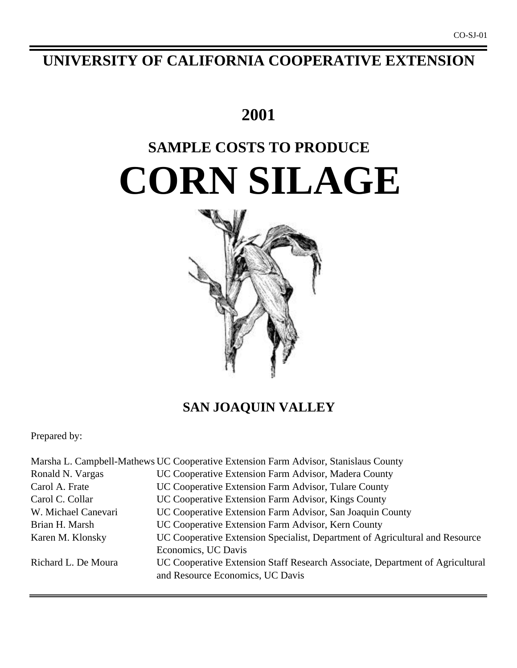# **UNIVERSITY OF CALIFORNIA COOPERATIVE EXTENSION**

# **2001**

# **SAMPLE COSTS TO PRODUCE CORN SILAGE**



# **SAN JOAQUIN VALLEY**

Prepared by:

|                     | Marsha L. Campbell-Mathews UC Cooperative Extension Farm Advisor, Stanislaus County |
|---------------------|-------------------------------------------------------------------------------------|
| Ronald N. Vargas    | UC Cooperative Extension Farm Advisor, Madera County                                |
| Carol A. Frate      | UC Cooperative Extension Farm Advisor, Tulare County                                |
| Carol C. Collar     | UC Cooperative Extension Farm Advisor, Kings County                                 |
| W. Michael Canevari | UC Cooperative Extension Farm Advisor, San Joaquin County                           |
| Brian H. Marsh      | UC Cooperative Extension Farm Advisor, Kern County                                  |
| Karen M. Klonsky    | UC Cooperative Extension Specialist, Department of Agricultural and Resource        |
|                     | Economics, UC Davis                                                                 |
| Richard L. De Moura | UC Cooperative Extension Staff Research Associate, Department of Agricultural       |
|                     | and Resource Economics, UC Davis                                                    |
|                     |                                                                                     |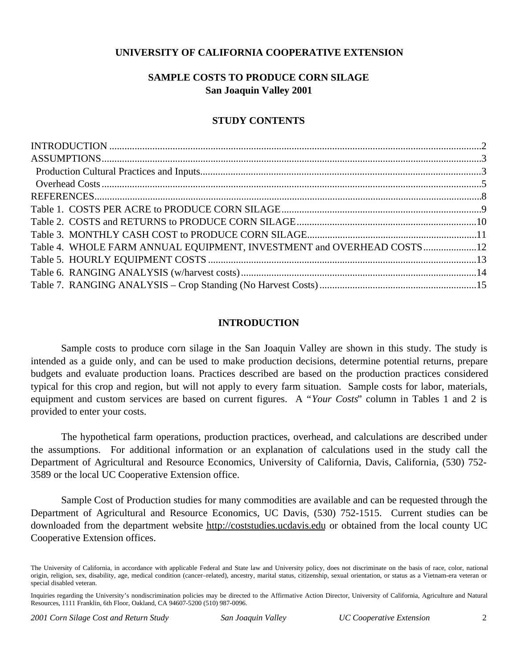# **UNIVERSITY OF CALIFORNIA COOPERATIVE EXTENSION**

# **SAMPLE COSTS TO PRODUCE CORN SILAGE San Joaquin Valley 2001**

# **STUDY CONTENTS**

| Table 4. WHOLE FARM ANNUAL EQUIPMENT, INVESTMENT and OVERHEAD COSTS 12 |  |
|------------------------------------------------------------------------|--|
|                                                                        |  |
|                                                                        |  |
|                                                                        |  |
|                                                                        |  |

# **INTRODUCTION**

Sample costs to produce corn silage in the San Joaquin Valley are shown in this study. The study is intended as a guide only, and can be used to make production decisions, determine potential returns, prepare budgets and evaluate production loans. Practices described are based on the production practices considered typical for this crop and region, but will not apply to every farm situation. Sample costs for labor, materials, equipment and custom services are based on current figures. A "*Your Costs*" column in Tables 1 and 2 is provided to enter your costs.

The hypothetical farm operations, production practices, overhead, and calculations are described under the assumptions. For additional information or an explanation of calculations used in the study call the Department of Agricultural and Resource Economics, University of California, Davis, California, (530) 752- 3589 or the local UC Cooperative Extension office.

Sample Cost of Production studies for many commodities are available and can be requested through the Department of Agricultural and Resource Economics, UC Davis, (530) 752-1515. Current studies can be downloaded from the department website http://coststudies.ucdavis.edu or obtained from the local county UC Cooperative Extension offices.

The University of California, in accordance with applicable Federal and State law and University policy, does not discriminate on the basis of race, color, national origin, religion, sex, disability, age, medical condition (cancer–related), ancestry, marital status, citizenship, sexual orientation, or status as a Vietnam-era veteran or special disabled veteran.

Inquiries regarding the University's nondiscrimination policies may be directed to the Affirmative Action Director, University of California, Agriculture and Natural Resources, 1111 Franklin, 6th Floor, Oakland, CA 94607-5200 (510) 987-0096.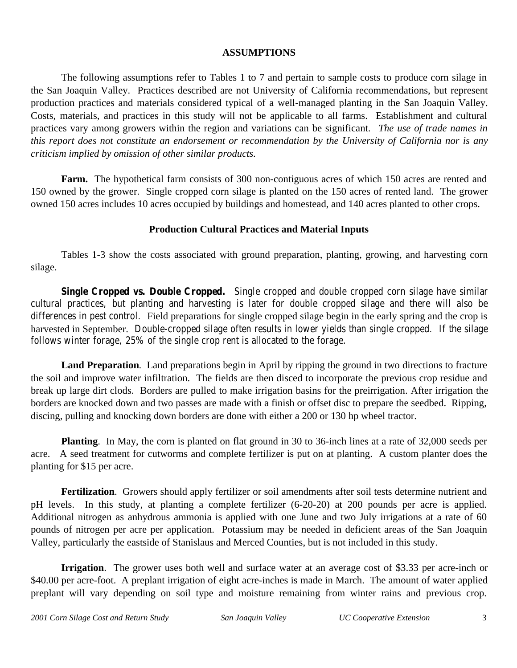# **ASSUMPTIONS**

The following assumptions refer to Tables 1 to 7 and pertain to sample costs to produce corn silage in the San Joaquin Valley. Practices described are not University of California recommendations, but represent production practices and materials considered typical of a well-managed planting in the San Joaquin Valley. Costs, materials, and practices in this study will not be applicable to all farms.Establishment and cultural practices vary among growers within the region and variations can be significant. *The use of trade names in this report does not constitute an endorsement or recommendation by the University of California nor is any criticism implied by omission of other similar products.*

**Farm.** The hypothetical farm consists of 300 non-contiguous acres of which 150 acres are rented and 150 owned by the grower. Single cropped corn silage is planted on the 150 acres of rented land. The grower owned 150 acres includes 10 acres occupied by buildings and homestead, and 140 acres planted to other crops.

# **Production Cultural Practices and Material Inputs**

Tables 1-3 show the costs associated with ground preparation, planting, growing, and harvesting corn silage.

**Single Cropped vs. Double Cropped.** Single cropped and double cropped corn silage have similar cultural practices, but planting and harvesting is later for double cropped silage and there will also be differences in pest control. Field preparations for single cropped silage begin in the early spring and the crop is harvested in September. Double-cropped silage often results in lower yields than single cropped. If the silage follows winter forage, 25% of the single crop rent is allocated to the forage.

**Land Preparation**. Land preparations begin in April by ripping the ground in two directions to fracture the soil and improve water infiltration. The fields are then disced to incorporate the previous crop residue and break up large dirt clods. Borders are pulled to make irrigation basins for the preirrigation. After irrigation the borders are knocked down and two passes are made with a finish or offset disc to prepare the seedbed. Ripping, discing, pulling and knocking down borders are done with either a 200 or 130 hp wheel tractor.

**Planting**. In May, the corn is planted on flat ground in 30 to 36-inch lines at a rate of 32,000 seeds per acre. A seed treatment for cutworms and complete fertilizer is put on at planting. A custom planter does the planting for \$15 per acre.

**Fertilization**. Growers should apply fertilizer or soil amendments after soil tests determine nutrient and pH levels. In this study, at planting a complete fertilizer (6-20-20) at 200 pounds per acre is applied. Additional nitrogen as anhydrous ammonia is applied with one June and two July irrigations at a rate of 60 pounds of nitrogen per acre per application. Potassium may be needed in deficient areas of the San Joaquin Valley, particularly the eastside of Stanislaus and Merced Counties, but is not included in this study.

**Irrigation**. The grower uses both well and surface water at an average cost of \$3.33 per acre-inch or \$40.00 per acre-foot. A preplant irrigation of eight acre-inches is made in March. The amount of water applied preplant will vary depending on soil type and moisture remaining from winter rains and previous crop.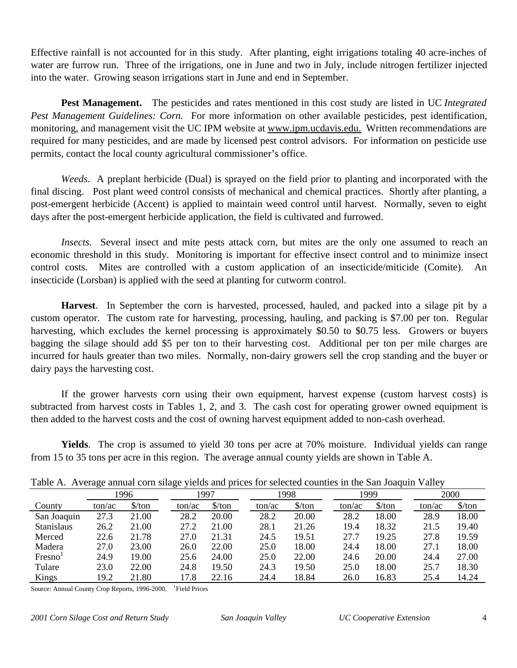Effective rainfall is not accounted for in this study. After planting, eight irrigations totaling 40 acre-inches of water are furrow run. Three of the irrigations, one in June and two in July, include nitrogen fertilizer injected into the water. Growing season irrigations start in June and end in September.

**Pest Management.** The pesticides and rates mentioned in this cost study are listed in UC *Integrated Pest Management Guidelines: Corn.* For more information on other available pesticides, pest identification, monitoring, and management visit the UC IPM website at www.ipm.ucdavis.edu. Written recommendations are required for many pesticides, and are made by licensed pest control advisors. For information on pesticide use permits, contact the local county agricultural commissioner's office.

*Weeds*. A preplant herbicide (Dual) is sprayed on the field prior to planting and incorporated with the final discing. Post plant weed control consists of mechanical and chemical practices. Shortly after planting, a post-emergent herbicide (Accent) is applied to maintain weed control until harvest. Normally, seven to eight days after the post-emergent herbicide application, the field is cultivated and furrowed.

*Insects.* Several insect and mite pests attack corn, but mites are the only one assumed to reach an economic threshold in this study. Monitoring is important for effective insect control and to minimize insect control costs. Mites are controlled with a custom application of an insecticide/miticide (Comite). An insecticide (Lorsban) is applied with the seed at planting for cutworm control.

**Harvest**. In September the corn is harvested, processed, hauled, and packed into a silage pit by a custom operator. The custom rate for harvesting, processing, hauling, and packing is \$7.00 per ton. Regular harvesting, which excludes the kernel processing is approximately \$0.50 to \$0.75 less. Growers or buyers bagging the silage should add \$5 per ton to their harvesting cost. Additional per ton per mile charges are incurred for hauls greater than two miles. Normally, non-dairy growers sell the crop standing and the buyer or dairy pays the harvesting cost.

If the grower harvests corn using their own equipment, harvest expense (custom harvest costs) is subtracted from harvest costs in Tables 1, 2, and 3. The cash cost for operating grower owned equipment is then added to the harvest costs and the cost of owning harvest equipment added to non-cash overhead.

**Yields**. The crop is assumed to yield 30 tons per acre at 70% moisture. Individual yields can range from 15 to 35 tons per acre in this region. The average annual county yields are shown in Table A.

|                   | Tube 11. Trends annual compilate fields and prices for selected country in the ban roaquin valid f |                               |        |                               |        |                      |        |                      |        |                               |  |  |  |  |
|-------------------|----------------------------------------------------------------------------------------------------|-------------------------------|--------|-------------------------------|--------|----------------------|--------|----------------------|--------|-------------------------------|--|--|--|--|
|                   |                                                                                                    | 1996                          |        | 1997                          |        | 1998                 |        | 1999                 |        | 2000                          |  |  |  |  |
| County            | ton/ac                                                                                             | $\frac{\text{S}}{\text{ton}}$ | ton/ac | $\frac{\text{S}}{\text{ton}}$ | ton/ac | $\frac{\sqrt{2}}{2}$ | ton/ac | $\frac{\sqrt{2}}{2}$ | ton/ac | $\frac{\text{S}}{\text{ton}}$ |  |  |  |  |
| San Joaquin       | 27.3                                                                                               | 21.00                         | 28.2   | 20.00                         | 28.2   | 20.00                | 28.2   | 18.00                | 28.9   | 18.00                         |  |  |  |  |
| <b>Stanislaus</b> | 26.2                                                                                               | 21.00                         | 27.2   | 21.00                         | 28.1   | 21.26                | 19.4   | 18.32                | 21.5   | 19.40                         |  |  |  |  |
| Merced            | 22.6                                                                                               | 21.78                         | 27.0   | 21.31                         | 24.5   | 19.51                | 27.7   | 19.25                | 27.8   | 19.59                         |  |  |  |  |
| Madera            | 27.0                                                                                               | 23.00                         | 26.0   | 22.00                         | 25.0   | 18.00                | 24.4   | 18.00                | 27.1   | 18.00                         |  |  |  |  |
| Fresno            | 24.9                                                                                               | 19.00                         | 25.6   | 24.00                         | 25.0   | 22.00                | 24.6   | 20.00                | 24.4   | 27.00                         |  |  |  |  |
| Tulare            | 23.0                                                                                               | 22.00                         | 24.8   | 19.50                         | 24.3   | 19.50                | 25.0   | 18.00                | 25.7   | 18.30                         |  |  |  |  |
| Kings             | 19.2                                                                                               | 21.80                         | 17.8   | 22.16                         | 24.4   | 18.84                | 26.0   | 16.83                | 25.4   | 14.24                         |  |  |  |  |

Table A. Average annual corn silage yields and prices for selected counties in the San Joaquin Valley

Source: Annual County Crop Reports, 1996-2000. <sup>1</sup> Field Prices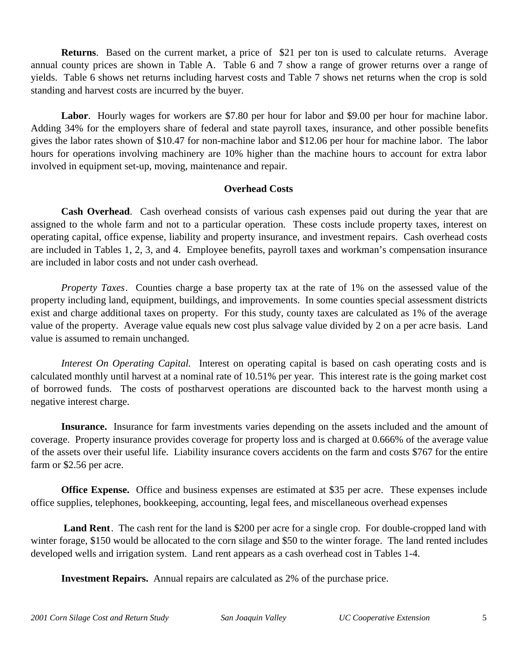**Returns**. Based on the current market, a price of \$21 per ton is used to calculate returns. Average annual county prices are shown in Table A. Table 6 and 7 show a range of grower returns over a range of yields. Table 6 shows net returns including harvest costs and Table 7 shows net returns when the crop is sold standing and harvest costs are incurred by the buyer.

**Labor**. Hourly wages for workers are \$7.80 per hour for labor and \$9.00 per hour for machine labor. Adding 34% for the employers share of federal and state payroll taxes, insurance, and other possible benefits gives the labor rates shown of \$10.47 for non-machine labor and \$12.06 per hour for machine labor. The labor hours for operations involving machinery are 10% higher than the machine hours to account for extra labor involved in equipment set-up, moving, maintenance and repair.

# **Overhead Costs**

**Cash Overhead**. Cash overhead consists of various cash expenses paid out during the year that are assigned to the whole farm and not to a particular operation. These costs include property taxes, interest on operating capital, office expense, liability and property insurance, and investment repairs. Cash overhead costs are included in Tables 1, 2, 3, and 4. Employee benefits, payroll taxes and workman's compensation insurance are included in labor costs and not under cash overhead.

*Property Taxes*. Counties charge a base property tax at the rate of 1% on the assessed value of the property including land, equipment, buildings, and improvements. In some counties special assessment districts exist and charge additional taxes on property. For this study, county taxes are calculated as 1% of the average value of the property. Average value equals new cost plus salvage value divided by 2 on a per acre basis. Land value is assumed to remain unchanged.

*Interest On Operating Capital.* Interest on operating capital is based on cash operating costs and is calculated monthly until harvest at a nominal rate of 10.51% per year. This interest rate is the going market cost of borrowed funds. The costs of postharvest operations are discounted back to the harvest month using a negative interest charge.

**Insurance.** Insurance for farm investments varies depending on the assets included and the amount of coverage. Property insurance provides coverage for property loss and is charged at 0.666% of the average value of the assets over their useful life. Liability insurance covers accidents on the farm and costs \$767 for the entire farm or \$2.56 per acre.

**Office Expense.** Office and business expenses are estimated at \$35 per acre. These expenses include office supplies, telephones, bookkeeping, accounting, legal fees, and miscellaneous overhead expenses

Land Rent. The cash rent for the land is \$200 per acre for a single crop. For double-cropped land with winter forage, \$150 would be allocated to the corn silage and \$50 to the winter forage. The land rented includes developed wells and irrigation system. Land rent appears as a cash overhead cost in Tables 1-4.

**Investment Repairs.** Annual repairs are calculated as 2% of the purchase price.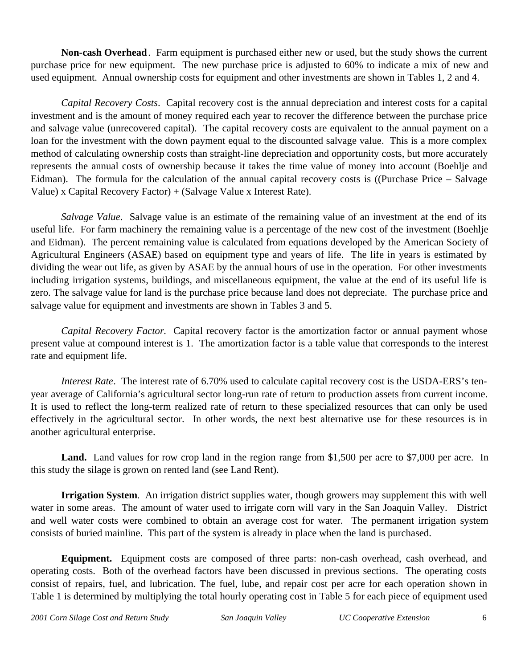**Non-cash Overhead**. Farm equipment is purchased either new or used, but the study shows the current purchase price for new equipment. The new purchase price is adjusted to 60% to indicate a mix of new and used equipment. Annual ownership costs for equipment and other investments are shown in Tables 1, 2 and 4.

*Capital Recovery Costs*. Capital recovery cost is the annual depreciation and interest costs for a capital investment and is the amount of money required each year to recover the difference between the purchase price and salvage value (unrecovered capital). The capital recovery costs are equivalent to the annual payment on a loan for the investment with the down payment equal to the discounted salvage value. This is a more complex method of calculating ownership costs than straight-line depreciation and opportunity costs, but more accurately represents the annual costs of ownership because it takes the time value of money into account (Boehlje and Eidman). The formula for the calculation of the annual capital recovery costs is ((Purchase Price – Salvage Value) x Capital Recovery Factor) + (Salvage Value x Interest Rate).

*Salvage Value*. Salvage value is an estimate of the remaining value of an investment at the end of its useful life. For farm machinery the remaining value is a percentage of the new cost of the investment (Boehlje and Eidman). The percent remaining value is calculated from equations developed by the American Society of Agricultural Engineers (ASAE) based on equipment type and years of life. The life in years is estimated by dividing the wear out life, as given by ASAE by the annual hours of use in the operation. For other investments including irrigation systems, buildings, and miscellaneous equipment, the value at the end of its useful life is zero. The salvage value for land is the purchase price because land does not depreciate. The purchase price and salvage value for equipment and investments are shown in Tables 3 and 5.

*Capital Recovery Factor.* Capital recovery factor is the amortization factor or annual payment whose present value at compound interest is 1. The amortization factor is a table value that corresponds to the interest rate and equipment life.

*Interest Rate*. The interest rate of 6.70% used to calculate capital recovery cost is the USDA-ERS's tenyear average of California's agricultural sector long-run rate of return to production assets from current income. It is used to reflect the long-term realized rate of return to these specialized resources that can only be used effectively in the agricultural sector. In other words, the next best alternative use for these resources is in another agricultural enterprise.

Land. Land values for row crop land in the region range from \$1,500 per acre to \$7,000 per acre. In this study the silage is grown on rented land (see Land Rent).

**Irrigation System.** An irrigation district supplies water, though growers may supplement this with well water in some areas. The amount of water used to irrigate corn will vary in the San Joaquin Valley. District and well water costs were combined to obtain an average cost for water. The permanent irrigation system consists of buried mainline. This part of the system is already in place when the land is purchased.

**Equipment.** Equipment costs are composed of three parts: non-cash overhead, cash overhead, and operating costs. Both of the overhead factors have been discussed in previous sections. The operating costs consist of repairs, fuel, and lubrication. The fuel, lube, and repair cost per acre for each operation shown in Table 1 is determined by multiplying the total hourly operating cost in Table 5 for each piece of equipment used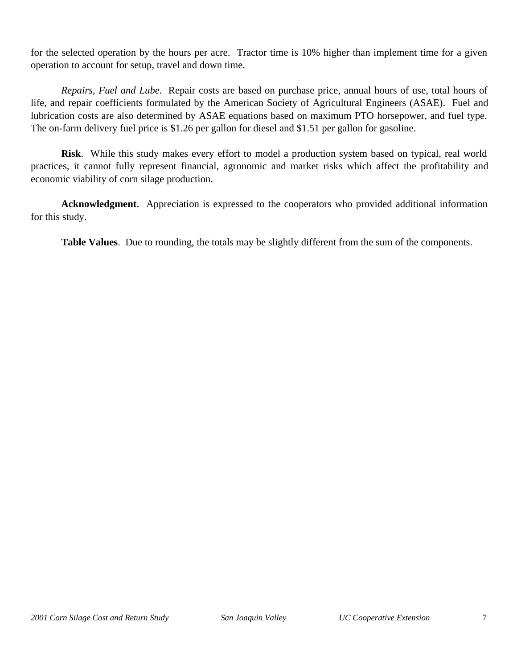for the selected operation by the hours per acre. Tractor time is 10% higher than implement time for a given operation to account for setup, travel and down time.

*Repairs, Fuel and Lube.* Repair costs are based on purchase price, annual hours of use, total hours of life, and repair coefficients formulated by the American Society of Agricultural Engineers (ASAE). Fuel and lubrication costs are also determined by ASAE equations based on maximum PTO horsepower, and fuel type. The on-farm delivery fuel price is \$1.26 per gallon for diesel and \$1.51 per gallon for gasoline.

**Risk**. While this study makes every effort to model a production system based on typical, real world practices, it cannot fully represent financial, agronomic and market risks which affect the profitability and economic viability of corn silage production.

**Acknowledgment**. Appreciation is expressed to the cooperators who provided additional information for this study.

**Table Values**. Due to rounding, the totals may be slightly different from the sum of the components.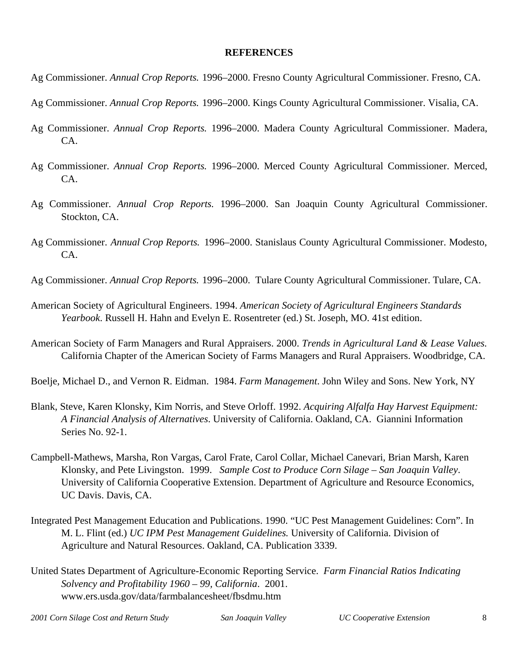## **REFERENCES**

- Ag Commissioner. *Annual Crop Reports.* 1996–2000. Fresno County Agricultural Commissioner. Fresno, CA.
- Ag Commissioner. *Annual Crop Reports.* 1996–2000. Kings County Agricultural Commissioner. Visalia, CA.
- Ag Commissioner. *Annual Crop Reports.* 1996–2000. Madera County Agricultural Commissioner. Madera, CA.
- Ag Commissioner. *Annual Crop Reports.* 1996–2000. Merced County Agricultural Commissioner. Merced, CA.
- Ag Commissioner. *Annual Crop Reports.* 1996–2000. San Joaquin County Agricultural Commissioner. Stockton, CA.
- Ag Commissioner. *Annual Crop Reports.* 1996–2000. Stanislaus County Agricultural Commissioner. Modesto, CA.
- Ag Commissioner. *Annual Crop Reports.* 1996–2000. Tulare County Agricultural Commissioner. Tulare, CA.
- American Society of Agricultural Engineers. 1994. *American Society of Agricultural Engineers Standards Yearbook*. Russell H. Hahn and Evelyn E. Rosentreter (ed.) St. Joseph, MO. 41st edition.
- American Society of Farm Managers and Rural Appraisers. 2000. *Trends in Agricultural Land & Lease Values.* California Chapter of the American Society of Farms Managers and Rural Appraisers. Woodbridge, CA.
- Boelje, Michael D., and Vernon R. Eidman. 1984. *Farm Management*. John Wiley and Sons. New York, NY
- Blank, Steve, Karen Klonsky, Kim Norris, and Steve Orloff. 1992. *Acquiring Alfalfa Hay Harvest Equipment: A Financial Analysis of Alternatives*. University of California. Oakland, CA. Giannini Information Series No. 92-1.
- Campbell-Mathews, Marsha, Ron Vargas, Carol Frate, Carol Collar, Michael Canevari, Brian Marsh, Karen Klonsky, and Pete Livingston. 1999. *Sample Cost to Produce Corn Silage – San Joaquin Valley*. University of California Cooperative Extension. Department of Agriculture and Resource Economics, UC Davis. Davis, CA.
- Integrated Pest Management Education and Publications. 1990. "UC Pest Management Guidelines: Corn". In M. L. Flint (ed.) *UC IPM Pest Management Guidelines.* University of California. Division of Agriculture and Natural Resources. Oakland, CA. Publication 3339.
- United States Department of Agriculture-Economic Reporting Service. *Farm Financial Ratios Indicating Solvency and Profitability 1960 – 99, California*. 2001. www.ers.usda.gov/data/farmbalancesheet/fbsdmu.htm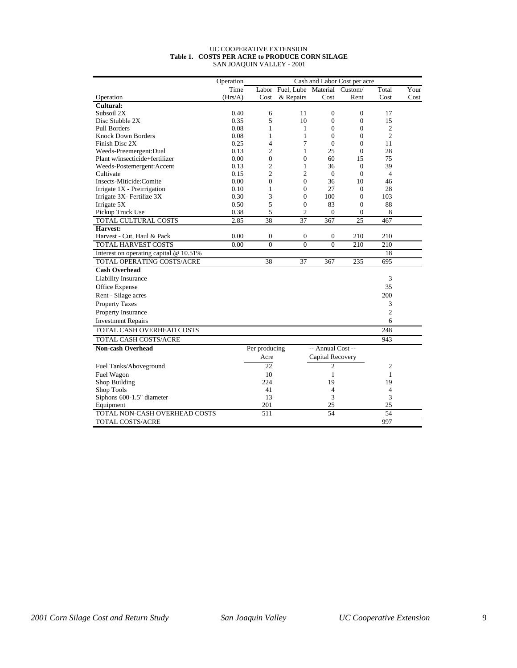#### UC COOPERATIVE EXTENSION **Table 1. COSTS PER ACRE to PRODUCE CORN SILAGE** SAN JOAQUIN VALLEY - 2001

|                                        | Operation | Cash and Labor Cost per acre |                                   |                   |                  |                |      |  |
|----------------------------------------|-----------|------------------------------|-----------------------------------|-------------------|------------------|----------------|------|--|
|                                        | Time      |                              | Labor Fuel, Lube Material Custom/ |                   |                  | Total          | Your |  |
| Operation                              | (Hrs/A)   | Cost                         | & Repairs                         | Cost              | Rent             | Cost           | Cost |  |
| Cultural:                              |           |                              |                                   |                   |                  |                |      |  |
| Subsoil 2X                             | 0.40      | 6                            | 11                                | $\mathbf{0}$      | $\theta$         | 17             |      |  |
| Disc Stubble 2X                        | 0.35      | 5                            | 10                                | $\Omega$          | $\Omega$         | 15             |      |  |
| <b>Pull Borders</b>                    | 0.08      | 1                            | 1                                 | $\mathbf{0}$      | $\Omega$         | $\overline{c}$ |      |  |
| <b>Knock Down Borders</b>              | 0.08      | 1                            | 1                                 | $\theta$          | $\Omega$         | $\overline{c}$ |      |  |
| Finish Disc 2X                         | 0.25      | 4                            | 7                                 | $\mathbf{0}$      | $\Omega$         | 11             |      |  |
| Weeds-Preemergent:Dual                 | 0.13      | $\overline{c}$               | 1                                 | 25                | $\overline{0}$   | 28             |      |  |
| Plant w/insecticide+fertilizer         | 0.00      | $\overline{0}$               | $\boldsymbol{0}$                  | 60                | 15               | 75             |      |  |
| Weeds-Postemergent:Accent              | 0.13      | $\overline{2}$               | 1                                 | 36                | $\overline{0}$   | 39             |      |  |
| Cultivate                              | 0.15      | $\overline{c}$               | 2                                 | $\mathbf{0}$      | $\overline{0}$   | $\overline{4}$ |      |  |
| Insects-Miticide:Comite                | 0.00      | $\overline{0}$               | $\mathbf{0}$                      | 36                | 10               | 46             |      |  |
| Irrigate 1X - Preirrigation            | 0.10      | $\mathbf{1}$                 | $\mathbf{0}$                      | 27                | $\overline{0}$   | 28             |      |  |
| Irrigate 3X- Fertilize 3X              | 0.30      | 3                            | $\mathbf{0}$                      | 100               | $\overline{0}$   | 103            |      |  |
| Irrigate 5X                            | 0.50      | 5                            | $\mathbf{0}$                      | 83                | $\Omega$         | 88             |      |  |
| Pickup Truck Use                       | 0.38      | 5                            | $\overline{c}$                    | 0                 | $\overline{0}$   | 8              |      |  |
| TOTAL CULTURAL COSTS                   | 2.85      | 38                           | 37                                | 367               | 25               | 467            |      |  |
| Harvest:                               |           |                              |                                   |                   |                  |                |      |  |
| Harvest - Cut, Haul & Pack             | 0.00      | $\boldsymbol{0}$             | $\boldsymbol{0}$                  | $\boldsymbol{0}$  | 210              | 210            |      |  |
| <b>TOTAL HARVEST COSTS</b>             | 0.00      | $\overline{0}$               | $\overline{0}$                    | $\overline{0}$    | $\overline{210}$ | 210            |      |  |
| Interest on operating capital @ 10.51% |           |                              |                                   |                   |                  | 18             |      |  |
| TOTAL OPERATING COSTS/ACRE             |           | 38                           | 37                                | 367               | 235              | 695            |      |  |
| <b>Cash Overhead</b>                   |           |                              |                                   |                   |                  |                |      |  |
| Liability Insurance                    |           |                              |                                   |                   |                  | 3              |      |  |
| Office Expense                         |           |                              |                                   |                   |                  | 35             |      |  |
| Rent - Silage acres                    |           |                              |                                   |                   |                  | 200            |      |  |
| <b>Property Taxes</b>                  |           |                              |                                   |                   |                  | 3              |      |  |
| Property Insurance                     |           |                              |                                   |                   |                  | $\overline{c}$ |      |  |
| <b>Investment Repairs</b>              |           |                              |                                   |                   |                  | 6              |      |  |
| TOTAL CASH OVERHEAD COSTS              |           |                              |                                   |                   |                  | 248            |      |  |
|                                        |           |                              |                                   |                   |                  |                |      |  |
| TOTAL CASH COSTS/ACRE                  |           |                              |                                   |                   |                  | 943            |      |  |
| <b>Non-cash Overhead</b>               |           | Per producing                |                                   | -- Annual Cost -- |                  |                |      |  |
|                                        |           | Acre                         |                                   | Capital Recovery  |                  |                |      |  |
| Fuel Tanks/Aboveground                 |           | 22                           |                                   | $\overline{2}$    |                  | $\overline{2}$ |      |  |
| Fuel Wagon                             |           | 10                           |                                   | $\mathbf{1}$      |                  | $\mathbf{1}$   |      |  |
| Shop Building                          |           | 224                          |                                   | 19                |                  | 19             |      |  |
| Shop Tools                             |           | 41                           |                                   | 4                 |                  | 4              |      |  |
| Siphons 600-1.5" diameter              |           | 13                           |                                   | 3                 |                  | 3              |      |  |
| Equipment                              |           | 201                          |                                   | 25                |                  | 25             |      |  |
| TOTAL NON-CASH OVERHEAD COSTS          |           | 511                          |                                   | 54                |                  | 54             |      |  |
| TOTAL COSTS/ACRE                       |           |                              |                                   |                   |                  | 997            |      |  |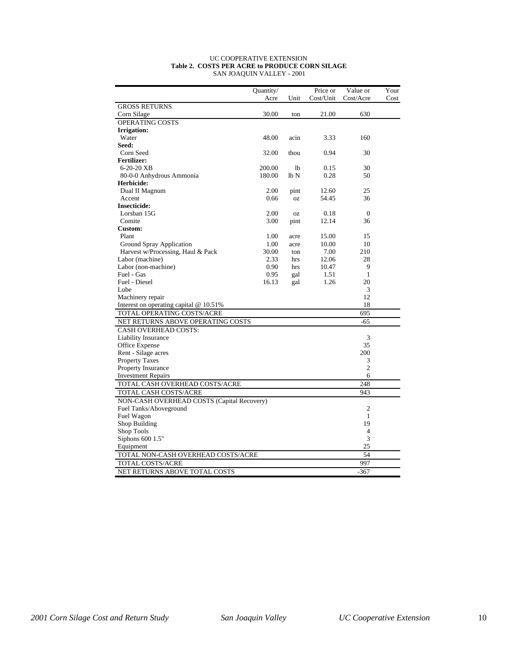#### UC COOPERATIVE EXTENSION **Table 2. COSTS PER ACRE to PRODUCE CORN SILAGE** SAN JOAQUIN VALLEY - 2001

|                                            | Quantity/ |              | Price or  | Value or       | Your |  |  |  |
|--------------------------------------------|-----------|--------------|-----------|----------------|------|--|--|--|
|                                            | Acre      | Unit         | Cost/Unit | Cost/Acre      | Cost |  |  |  |
| <b>GROSS RETURNS</b>                       |           |              |           |                |      |  |  |  |
| Corn Silage                                | 30.00     | ton          | 21.00     | 630            |      |  |  |  |
| OPERATING COSTS                            |           |              |           |                |      |  |  |  |
| <b>Irrigation:</b>                         |           |              |           |                |      |  |  |  |
| Water                                      | 48.00     | acin         | 3.33      | 160            |      |  |  |  |
| Seed:                                      |           |              |           |                |      |  |  |  |
| Corn Seed                                  | 32.00     | thou         | 0.94      | 30             |      |  |  |  |
| <b>Fertilizer:</b>                         |           |              |           |                |      |  |  |  |
| 6-20-20 XB                                 | 200.00    | <sup>1</sup> | 0.15      | 30             |      |  |  |  |
| 80-0-0 Anhydrous Ammonia                   | 180.00    | lb N         | 0.28      | 50             |      |  |  |  |
| Herbicide:                                 |           |              |           |                |      |  |  |  |
| Dual II Magnum                             | 2.00      | pint         | 12.60     | 25             |      |  |  |  |
| Accent                                     | 0.66      | <b>OZ</b>    | 54.45     | 36             |      |  |  |  |
| <b>Insecticide:</b>                        |           |              |           |                |      |  |  |  |
| Lorsban 15G                                | 2.00      | <b>OZ</b>    | 0.18      | $\mathbf{0}$   |      |  |  |  |
| Comite                                     | 3.00      | pint         | 12.14     | 36             |      |  |  |  |
| Custom:                                    |           |              |           |                |      |  |  |  |
| Plant                                      | 1.00      | acre         | 15.00     | 15             |      |  |  |  |
| Ground Spray Application                   | 1.00      | acre         | 10.00     | 10             |      |  |  |  |
| Harvest w/Processing, Haul & Pack          | 30.00     | ton          | 7.00      | 210            |      |  |  |  |
| Labor (machine)                            | 2.33      | hrs          | 12.06     | 28             |      |  |  |  |
| Labor (non-machine)                        | 0.90      | hrs          | 10.47     | 9              |      |  |  |  |
| Fuel - Gas                                 | 0.95      | gal          | 1.51      | 1              |      |  |  |  |
| Fuel - Diesel                              | 16.13     | gal          | 1.26      | 20             |      |  |  |  |
| Lube                                       |           |              |           | 3              |      |  |  |  |
| Machinery repair                           |           |              |           | 12             |      |  |  |  |
| Interest on operating capital @ 10.51%     |           |              |           | 18             |      |  |  |  |
| TOTAL OPERATING COSTS/ACRE                 |           |              |           | 695            |      |  |  |  |
| NET RETURNS ABOVE OPERATING COSTS          |           |              |           | $-65$          |      |  |  |  |
| <b>CASH OVERHEAD COSTS:</b>                |           |              |           |                |      |  |  |  |
| Liability Insurance                        |           |              |           | 3              |      |  |  |  |
| Office Expense                             |           |              |           | 35             |      |  |  |  |
| Rent - Silage acres                        |           |              |           | 200            |      |  |  |  |
| <b>Property Taxes</b>                      |           |              |           | 3              |      |  |  |  |
| Property Insurance                         |           |              |           | $\overline{c}$ |      |  |  |  |
| <b>Investment Repairs</b>                  |           |              |           | 6              |      |  |  |  |
| TOTAL CASH OVERHEAD COSTS/ACRE             |           |              |           | 248            |      |  |  |  |
| TOTAL CASH COSTS/ACRE                      |           |              |           | 943            |      |  |  |  |
| NON-CASH OVERHEAD COSTS (Capital Recovery) |           |              |           |                |      |  |  |  |
| Fuel Tanks/Aboveground                     |           |              |           | $\overline{c}$ |      |  |  |  |
| Fuel Wagon                                 |           |              |           | 1              |      |  |  |  |
| Shop Building<br>19                        |           |              |           |                |      |  |  |  |
| Shop Tools                                 |           |              |           | $\overline{4}$ |      |  |  |  |
| Siphons 600 1.5"<br>3                      |           |              |           |                |      |  |  |  |
| Equipment<br>25                            |           |              |           |                |      |  |  |  |
| TOTAL NON-CASH OVERHEAD COSTS/ACRE         |           |              |           | 54             |      |  |  |  |
| TOTAL COSTS/ACRE                           |           |              |           | 997            |      |  |  |  |
| NET RETURNS ABOVE TOTAL COSTS              |           |              |           | $-367$         |      |  |  |  |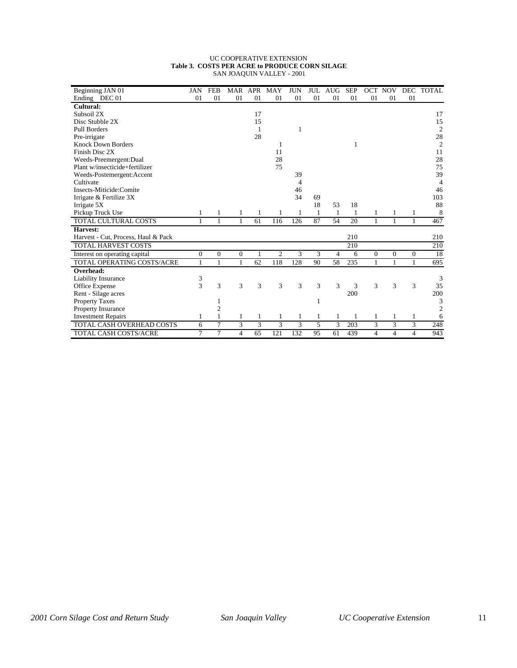#### UC COOPERATIVE EXTENSION **Table 3. COSTS PER ACRE to PRODUCE CORN SILAGE** SAN JOAQUIN VALLEY - 2001

| Beginning JAN 01                    | <b>JAN</b>   | <b>FEB</b>     | MAR              | APR            | MAY | <b>JUN</b> | JUL | <b>AUG</b> | <b>SEP</b> | OCT            | <b>NOV</b>     |                | DEC TOTAL      |
|-------------------------------------|--------------|----------------|------------------|----------------|-----|------------|-----|------------|------------|----------------|----------------|----------------|----------------|
| Ending DEC 01                       | 01           | 01             | 01               | 01             | 01  | 01         | 01  | 01         | 01         | 01             | 01             | 01             |                |
| Cultural:                           |              |                |                  |                |     |            |     |            |            |                |                |                |                |
| Subsoil 2X                          |              |                |                  | 17             |     |            |     |            |            |                |                |                | 17             |
| Disc Stubble 2X                     |              |                |                  | 15             |     |            |     |            |            |                |                |                | 15             |
| Pull Borders                        |              |                |                  | $\overline{1}$ |     | 1          |     |            |            |                |                |                | $\mathfrak{2}$ |
| Pre-irrigate                        |              |                |                  | 28             |     |            |     |            |            |                |                |                | 28             |
| <b>Knock Down Borders</b>           |              |                |                  |                | 1   |            |     |            | 1          |                |                |                | $\overline{2}$ |
| Finish Disc 2X                      |              |                |                  |                | 11  |            |     |            |            |                |                |                | 11             |
| Weeds-Preemergent:Dual              |              |                |                  |                | 28  |            |     |            |            |                |                |                | 28             |
| Plant w/insecticide+fertilizer      |              |                |                  |                | 75  |            |     |            |            |                |                |                | 75             |
| Weeds-Postemergent:Accent           |              |                |                  |                |     | 39         |     |            |            |                |                |                | 39             |
| Cultivate                           |              |                |                  |                |     | 4          |     |            |            |                |                |                | 4              |
| Insects-Miticide:Comite             |              |                |                  |                |     | 46         |     |            |            |                |                |                | 46             |
| Irrigate & Fertilize 3X             |              |                |                  |                |     | 34         | 69  |            |            |                |                |                | 103            |
| Irrigate 5X                         |              |                |                  |                |     |            | 18  | 53         | 18         |                |                |                | 88             |
| Pickup Truck Use                    |              |                |                  |                |     |            | 1   | 1          |            |                | 1              | 1              | 8              |
| TOTAL CULTURAL COSTS                | 1            | $\mathbf{1}$   | 1                | 61             | 116 | 126        | 87  | 54         | 20         | 1              | 1              | 1              | 467            |
| Harvest:                            |              |                |                  |                |     |            |     |            |            |                |                |                |                |
| Harvest - Cut, Process, Haul & Pack |              |                |                  |                |     |            |     |            | 210        |                |                |                | 210            |
| TOTAL HARVEST COSTS                 |              |                |                  |                |     |            |     |            | 210        |                |                |                | 210            |
| Interest on operating capital       | $\mathbf{0}$ | $\mathbf{0}$   | $\boldsymbol{0}$ | 1              | 2   | 3          | 3   | 4          | 6          | $\mathbf{0}$   | $\theta$       | $\theta$       | 18             |
| TOTAL OPERATING COSTS/ACRE          | 1            | $\mathbf{1}$   | 1                | 62             | 118 | 128        | 90  | 58         | 235        | $\mathbf{1}$   | $\mathbf{1}$   | $\mathbf{1}$   | 695            |
| Overhead:                           |              |                |                  |                |     |            |     |            |            |                |                |                |                |
| Liability Insurance                 | 3            |                |                  |                |     |            |     |            |            |                |                |                | 3              |
| Office Expense                      | 3            | 3              | 3                | 3              | 3   | 3          | 3   | 3          | 3          | 3              | 3              | 3              | 35             |
| Rent - Silage acres                 |              |                |                  |                |     |            |     |            | 200        |                |                |                | 200            |
| <b>Property Taxes</b>               |              | 1              |                  |                |     |            | 1   |            |            |                |                |                | 3              |
| <b>Property Insurance</b>           |              | $\overline{c}$ |                  |                |     |            |     |            |            |                |                |                | $\mathfrak{2}$ |
| <b>Investment Repairs</b>           | 1            | 1              | 1                |                | 1   | 1          | 1   | 1          | 1          | 1              | 1              | 1              | 6              |
| <b>TOTAL CASH OVERHEAD COSTS</b>    | 6            | 7              | 3                | 3              | 3   | 3          | 5   | 3          | 203        | 3              | 3              | 3              | 248            |
| <b>TOTAL CASH COSTS/ACRE</b>        | 7            | 7              | 4                | 65             | 121 | 132        | 95  | 61         | 439        | $\overline{4}$ | $\overline{4}$ | $\overline{4}$ | 943            |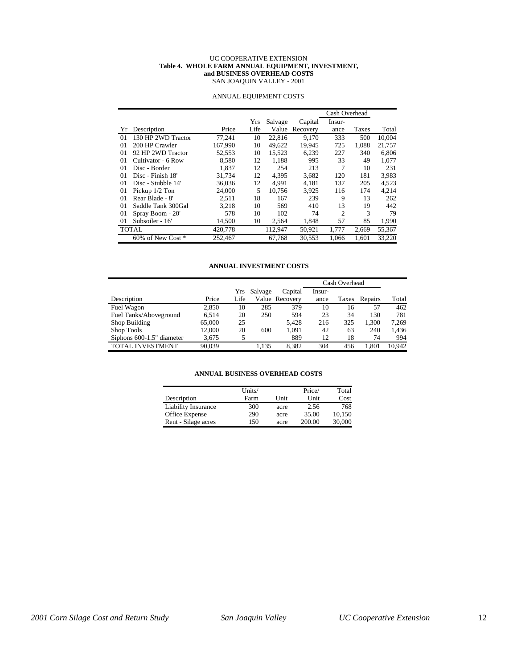#### UC COOPERATIVE EXTENSION **Table 4. WHOLE FARM ANNUAL EQUIPMENT, INVESTMENT, and BUSINESS OVERHEAD COSTS** SAN JOAQUIN VALLEY - 2001

|          |                    |         |      |         |          | Cash Overhead  |       |        |
|----------|--------------------|---------|------|---------|----------|----------------|-------|--------|
|          |                    |         | Yrs  | Salvage | Capital  | Insur-         |       |        |
| Yr.      | Description        | Price   | Life | Value   | Recovery | ance           | Taxes | Total  |
| $\Omega$ | 130 HP 2WD Tractor | 77.241  | 10   | 22,816  | 9,170    | 333            | 500   | 10.004 |
| 01       | 200 HP Crawler     | 167,990 | 10   | 49.622  | 19.945   | 725            | 1.088 | 21.757 |
| 01       | 92 HP 2WD Tractor  | 52,553  | 10   | 15.523  | 6,239    | 227            | 340   | 6.806  |
| 01       | Cultivator - 6 Row | 8,580   | 12   | 1,188   | 995      | 33             | 49    | 1,077  |
| 01       | Disc - Border      | 1.837   | 12   | 254     | 213      | 7              | 10    | 231    |
| 01       | Disc - Finish 18'  | 31,734  | 12   | 4,395   | 3,682    | 120            | 181   | 3,983  |
| 01       | Disc - Stubble 14' | 36,036  | 12   | 4.991   | 4.181    | 137            | 205   | 4,523  |
| 01       | Pickup 1/2 Ton     | 24,000  | 5    | 10.756  | 3.925    | 116            | 174   | 4,214  |
| 01       | Rear Blade - 8'    | 2.511   | 18   | 167     | 239      | 9              | 13    | 262    |
| 01       | Saddle Tank 300Gal | 3.218   | 10   | 569     | 410      | 13             | 19    | 442    |
| 01       | Spray Boom - 20'   | 578     | 10   | 102     | 74       | $\overline{c}$ | 3     | 79     |
| 01       | Subsoiler - 16'    | 14,500  | 10   | 2,564   | 1,848    | 57             | 85    | 1,990  |
|          | <b>TOTAL</b>       | 420,778 |      | 112,947 | 50,921   | 1.777          | 2,669 | 55,367 |
|          | 60% of New Cost *  | 252,467 |      | 67.768  | 30,553   | 1.066          | 1.601 | 33,220 |

#### ANNUAL EQUIPMENT COSTS

#### **ANNUAL INVESTMENT COSTS**

|                           |        |      |         |                | Cash Overhead |       |         |        |
|---------------------------|--------|------|---------|----------------|---------------|-------|---------|--------|
|                           |        | Yrs  | Salvage | Capital        | Insur-        |       |         |        |
| Description               | Price  | Life |         | Value Recoverv | ance          | Taxes | Repairs | Total  |
| Fuel Wagon                | 2,850  | 10   | 285     | 379            | 10            | 16    | 57      | 462    |
| Fuel Tanks/Aboveground    | 6.514  | 20   | 250     | 594            | 23            | 34    | 130     | 781    |
| Shop Building             | 65,000 | 25   |         | 5.428          | 216           | 325   | 1.300   | 7.269  |
| Shop Tools                | 12.000 | 20   | 600     | 1.091          | 42            | 63    | 240     | 1.436  |
| Siphons 600-1.5" diameter | 3.675  | 5    |         | 889            | 12            | 18    | 74      | 994    |
| TOTAL INVESTMENT          | 90.039 |      | 1.135   | 8.382          | 304           | 456   | 1.801   | 10.942 |

#### **ANNUAL BUSINESS OVERHEAD COSTS**

|                     | Units/ |      | Price/ | Total  |
|---------------------|--------|------|--------|--------|
| Description         | Farm   | Unit | Unit   | Cost   |
| Liability Insurance | 300    | acre | 2.56   | 768    |
| Office Expense      | 290    | acre | 35.00  | 10.150 |
| Rent - Silage acres | 150    | acre | 200.00 | 30,000 |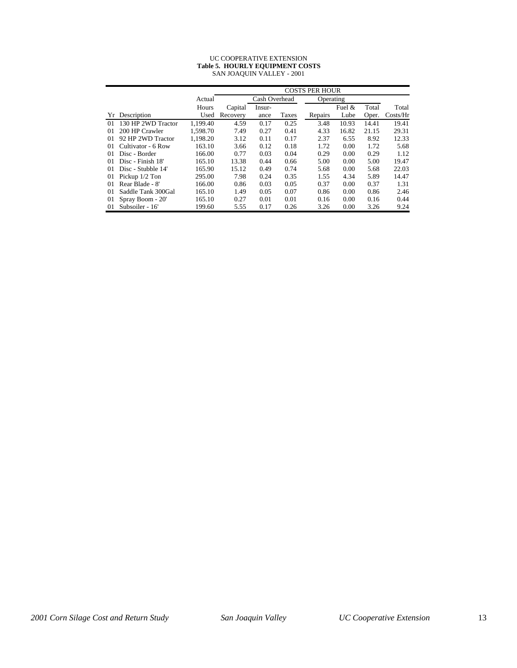| UC COOPERATIVE EXTENSION               |
|----------------------------------------|
| <b>Table 5. HOURLY EQUIPMENT COSTS</b> |
| SAN JOAQUIN VALLEY - 2001              |

|    |                    |          |               | <b>COSTS PER HOUR</b> |           |         |          |       |                    |  |  |  |
|----|--------------------|----------|---------------|-----------------------|-----------|---------|----------|-------|--------------------|--|--|--|
|    |                    | Actual   | Cash Overhead |                       | Operating |         |          |       |                    |  |  |  |
|    |                    | Hours    | Capital       | Insur-                |           |         | Fuel $&$ | Total | Total              |  |  |  |
| Yr | Description        | Used     | Recovery      | ance                  | Taxes     | Repairs | Lube     | Oper. | $\frac{Costs}{Hr}$ |  |  |  |
| 01 | 130 HP 2WD Tractor | 1.199.40 | 4.59          | 0.17                  | 0.25      | 3.48    | 10.93    | 14.41 | 19.41              |  |  |  |
| 01 | 200 HP Crawler     | 1.598.70 | 7.49          | 0.27                  | 0.41      | 4.33    | 16.82    | 21.15 | 29.31              |  |  |  |
| 01 | 92 HP 2WD Tractor  | 1.198.20 | 3.12          | 0.11                  | 0.17      | 2.37    | 6.55     | 8.92  | 12.33              |  |  |  |
| 01 | Cultivator - 6 Row | 163.10   | 3.66          | 0.12                  | 0.18      | 1.72    | 0.00     | 1.72  | 5.68               |  |  |  |
| 01 | Disc - Border      | 166.00   | 0.77          | 0.03                  | 0.04      | 0.29    | 0.00     | 0.29  | 1.12               |  |  |  |
| 01 | Disc - Finish 18'  | 165.10   | 13.38         | 0.44                  | 0.66      | 5.00    | 0.00     | 5.00  | 19.47              |  |  |  |
| 01 | Disc - Stubble 14' | 165.90   | 15.12         | 0.49                  | 0.74      | 5.68    | 0.00     | 5.68  | 22.03              |  |  |  |
| 01 | Pickup 1/2 Ton     | 295.00   | 7.98          | 0.24                  | 0.35      | 1.55    | 4.34     | 5.89  | 14.47              |  |  |  |
| 01 | Rear Blade - 8'    | 166.00   | 0.86          | 0.03                  | 0.05      | 0.37    | 0.00     | 0.37  | 1.31               |  |  |  |
| 01 | Saddle Tank 300Gal | 165.10   | 1.49          | 0.05                  | 0.07      | 0.86    | 0.00     | 0.86  | 2.46               |  |  |  |
| 01 | Spray Boom - 20'   | 165.10   | 0.27          | 0.01                  | 0.01      | 0.16    | 0.00     | 0.16  | 0.44               |  |  |  |
| 01 | Subsoiler - 16'    | 199.60   | 5.55          | 0.17                  | 0.26      | 3.26    | 0.00     | 3.26  | 9.24               |  |  |  |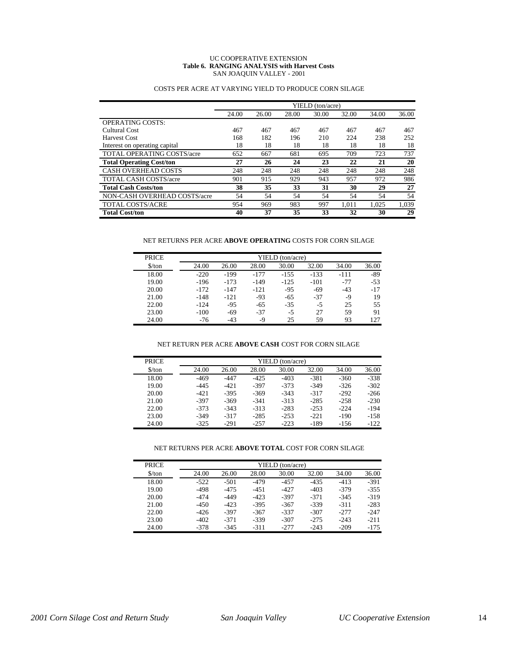#### UC COOPERATIVE EXTENSION **Table 6. RANGING ANALYSIS with Harvest Costs** SAN JOAQUIN VALLEY - 2001

|                                   |       |       |       | YIELD (ton/acre) |       |       |       |
|-----------------------------------|-------|-------|-------|------------------|-------|-------|-------|
|                                   | 24.00 | 26.00 | 28.00 | 30.00            | 32.00 | 34.00 | 36.00 |
| <b>OPERATING COSTS:</b>           |       |       |       |                  |       |       |       |
| Cultural Cost                     | 467   | 467   | 467   | 467              | 467   | 467   | 467   |
| <b>Harvest Cost</b>               | 168   | 182   | 196   | 210              | 224   | 238   | 252   |
| Interest on operating capital     | 18    | 18    | 18    | 18               | 18    | 18    | 18    |
| <b>TOTAL OPERATING COSTS/acre</b> | 652   | 667   | 681   | 695              | 709   | 723   | 737   |
| <b>Total Operating Cost/ton</b>   | 27    | 26    | 24    | 23               | 22    | 21    | 20    |
| <b>CASH OVERHEAD COSTS</b>        | 248   | 248   | 248   | 248              | 248   | 248   | 248   |
| <b>TOTAL CASH COSTS/acre</b>      | 901   | 915   | 929   | 943              | 957   | 972   | 986   |
| <b>Total Cash Costs/ton</b>       | 38    | 35    | 33    | 31               | 30    | 29    | 27    |
| NON-CASH OVERHEAD COSTS/acre      | 54    | 54    | 54    | 54               | 54    | 54    | 54    |
| <b>TOTAL COSTS/ACRE</b>           | 954   | 969   | 983   | 997              | 1.011 | 1.025 | 1,039 |
| <b>Total Cost/ton</b>             | 40    | 37    | 35    | 33               | 32    | 30    | 29    |

### COSTS PER ACRE AT VARYING YIELD TO PRODUCE CORN SILAGE

#### NET RETURNS PER ACRE **ABOVE OPERATING** COSTS FOR CORN SILAGE

| PRICE                         | YIELD (ton/acre) |        |        |        |        |        |       |  |  |  |  |
|-------------------------------|------------------|--------|--------|--------|--------|--------|-------|--|--|--|--|
| $\frac{\text{S}}{\text{ton}}$ | 24.00            | 26.00  | 28.00  | 30.00  | 32.00  | 34.00  | 36.00 |  |  |  |  |
| 18.00                         | $-220$           | $-199$ | $-177$ | $-155$ | $-133$ | $-111$ | $-89$ |  |  |  |  |
| 19.00                         | $-196$           | $-173$ | $-149$ | $-125$ | $-101$ | $-77$  | $-53$ |  |  |  |  |
| 20.00                         | $-172$           | $-147$ | $-121$ | $-95$  | $-69$  | $-43$  | $-17$ |  |  |  |  |
| 21.00                         | $-148$           | $-121$ | $-93$  | $-65$  | $-37$  | -9     | 19    |  |  |  |  |
| 22.00                         | $-124$           | $-95$  | $-65$  | $-35$  | $-5$   | 25     | 55    |  |  |  |  |
| 23.00                         | $-100$           | $-69$  | $-37$  | -5     | 27     | 59     | 91    |  |  |  |  |
| 24.00                         | -76              | $-43$  | -9     | 25     | 59     | 93     | 127   |  |  |  |  |

#### NET RETURN PER ACRE **ABOVE CASH** COST FOR CORN SILAGE

| PRICE                         | YIELD (ton/acre) |        |         |        |         |        |        |  |  |  |  |
|-------------------------------|------------------|--------|---------|--------|---------|--------|--------|--|--|--|--|
| $\frac{\text{S}}{\text{ton}}$ | 24.00            | 26.00  | 28.00   | 30.00  | 32.00   | 34.00  | 36.00  |  |  |  |  |
| 18.00                         | $-469$           | $-447$ | $-425$  | $-403$ | $-381$  | $-360$ | $-338$ |  |  |  |  |
| 19.00                         | $-44.5$          | $-421$ | $-397$  | $-373$ | $-349$  | $-326$ | $-302$ |  |  |  |  |
| 20.00                         | $-421$           | $-395$ | $-369$  | $-343$ | $-317$  | $-292$ | $-266$ |  |  |  |  |
| 21.00                         | $-397$           | $-369$ | $-341$  | $-313$ | $-285$  | $-258$ | $-230$ |  |  |  |  |
| 22.00                         | $-373$           | $-343$ | $-313$  | $-283$ | $-2.53$ | $-224$ | $-194$ |  |  |  |  |
| 23.00                         | $-349$           | $-317$ | $-285$  | $-253$ | $-221$  | -190   | $-158$ |  |  |  |  |
| 24.00                         | $-325$           | $-291$ | $-2.57$ | $-223$ | -189    | $-156$ | $-122$ |  |  |  |  |

#### NET RETURNS PER ACRE **ABOVE TOTAL** COST FOR CORN SILAGE

| <b>PRICE</b>                  | YIELD (ton/acre) |        |        |        |        |        |        |  |  |  |  |
|-------------------------------|------------------|--------|--------|--------|--------|--------|--------|--|--|--|--|
| $\frac{\text{S}}{\text{ton}}$ | 24.00            | 26.00  | 28.00  | 30.00  | 32.00  | 34.00  | 36.00  |  |  |  |  |
| 18.00                         | $-522$           | $-501$ | $-479$ | $-457$ | $-435$ | $-413$ | $-391$ |  |  |  |  |
| 19.00                         | $-498$           | $-475$ | $-451$ | $-427$ | $-403$ | $-379$ | $-355$ |  |  |  |  |
| 20.00                         | $-474$           | $-449$ | $-423$ | $-397$ | $-371$ | $-345$ | $-319$ |  |  |  |  |
| 21.00                         | $-450$           | $-423$ | $-395$ | $-367$ | $-339$ | $-311$ | $-283$ |  |  |  |  |
| 22.00                         | $-426$           | $-397$ | $-367$ | $-337$ | $-307$ | $-277$ | $-247$ |  |  |  |  |
| 23.00                         | $-402$           | $-371$ | $-339$ | $-307$ | $-275$ | $-243$ | $-211$ |  |  |  |  |
| 24.00                         | $-378$           | $-345$ | $-311$ | $-277$ | $-243$ | $-209$ | $-175$ |  |  |  |  |